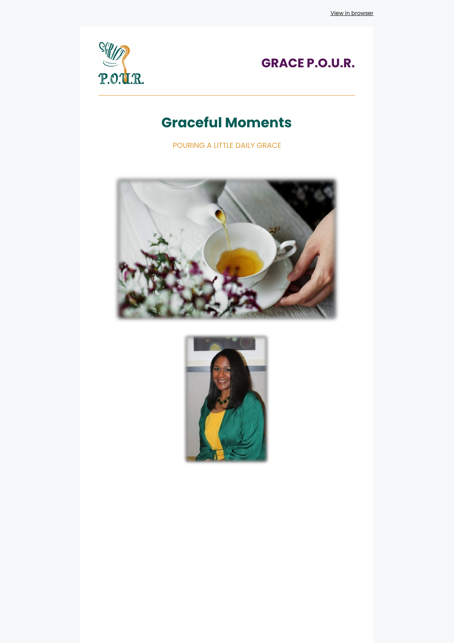

# **GRACE P.O.U.R.**

# **Graceful Moments**

POURING A LITTLE DAILY GRACE



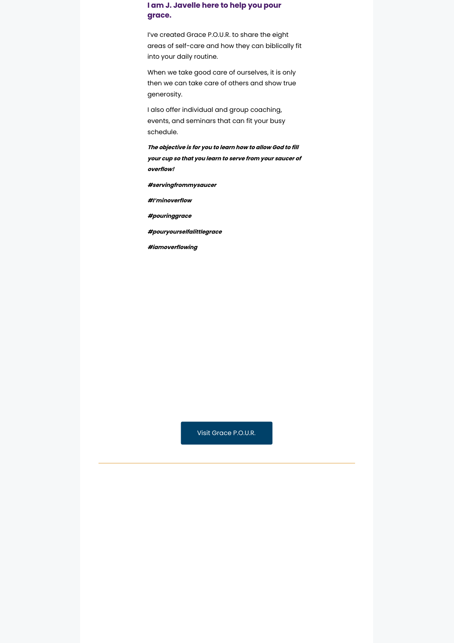## **I am J. Javelle here to help you pour grace.**

I've created Grace P.O.U.R. to share the eight areas of self-care and how they can biblically fit into your daily routine.

When we take good care of ourselves, it is only then we can take care of others and show true generosity.

I also offer individual and group coaching, events, and seminars that can fit your busy schedule.

**The objective is for you to learn how to allow God to fill your cup so that you learn to serve from your saucer of overflow!**

**#servingfrommysaucer**

**#I'minoverflow**

**#pouringgrace**

**#pouryourselfalittlegrace**

**#iamoverflowing**

Visit Grace [P.O.U.R.](https://www.gracepour.com?&utm_source=newsletter&utm_medium=email&utm_campaign=graceful_moments_july_2020&utm_term=2020-07-23)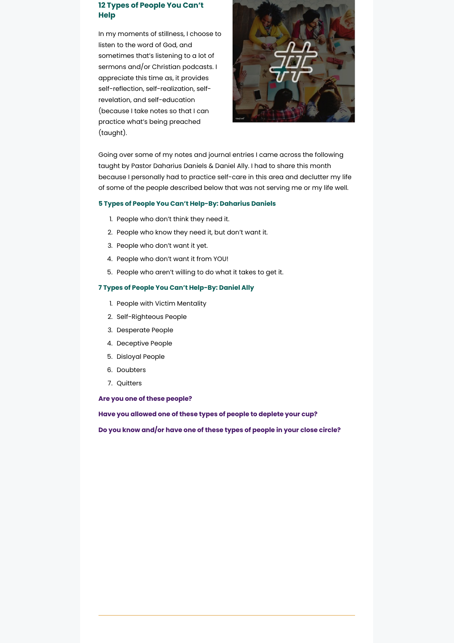## **12 Types of People You Can't Help**

In my moments of stillness, I choose to listen to the word of God, and sometimes that's listening to a lot of sermons and/or Christian podcasts. I appreciate this time as, it provides self-reflection, self-realization, selfrevelation, and self-education (because I take notes so that I can practice what's being preached (taught).



Going over some of my notes and journal entries I came across the following taught by Pastor Daharius Daniels & Daniel Ally. I had to share this month because I personally had to practice self-care in this area and declutter my life of some of the people described below that was not serving me or my life well.

#### **5 Types of People You Can't Help-By: Daharius Daniels**

- 1. People who don't think they need it.
- 2. People who know they need it, but don't want it.
- 3. People who don't want it yet.
- 4. People who don't want it from YOU!
- 5. People who aren't willing to do what it takes to get it.

#### **7 Types of People You Can't Help-By: Daniel Ally**

- 1. People with Victim Mentality
- 2. Self-Righteous People
- 3. Desperate People
- 4. Deceptive People
- 5. Disloyal People
- 6. Doubters
- 7. Quitters

#### **Are you one of these people?**

**Have you allowed one of these types of people to deplete your cup?**

**Do you know and/or have one of these types of people in your close circle?**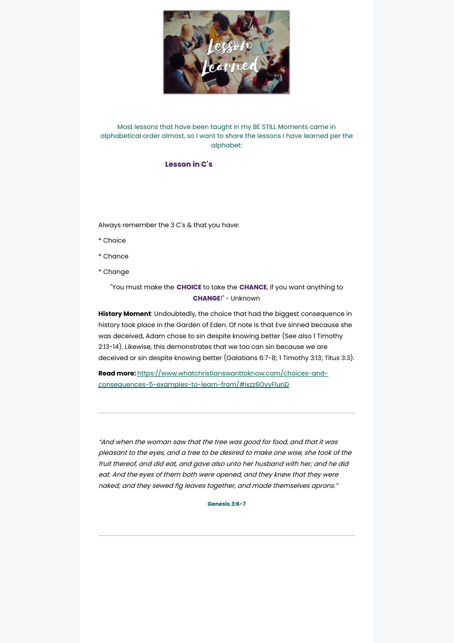

### Most lessons that have been taught in my BE STILL Moments came in alphabetical order almost, so I want to share the lessons I have learned per the alphabet:

### **Lesson in C's**

Always remember the 3 C's & that you have:

- \* Choice
- \* Chance
- \* Change

"You must make the **CHOICE** to take the **CHANCE**, if you want anything to **CHANGE**!" - Unknown

**History Moment**: Undoubtedly, the choice that had the biggest consequence in history took place in the Garden of Eden. Of note is that Eve sinned because she was deceived, Adam chose to sin despite knowing better (See also 1 Timothy 2:13-14). Likewise, this demonstrates that we too can sin because we are deceived or sin despite knowing better (Galatians 6:7-8; 1 Timothy 3:13; Titus 3:3).

**Read more:** [https://www.whatchristianswanttoknow.com/choices-and](https://www.whatchristianswanttoknow.com/choices-and-consequences-5-examples-to-learn-from/?&utm_source=newsletter&utm_medium=email&utm_campaign=graceful_moments_july_2020&utm_term=2020-07-23#ixzz6OyyFlunD)consequences-5-examples-to-learn-from/#ixzz6OyyFlunD

"And when the woman saw that the tree was good for food, and that it was pleasant to the eyes, and <sup>a</sup> tree to be desired to make one wise, she took of the fruit thereof, and did eat, and gave also unto her husband with her; and he did eat. And the eyes of them both were opened, and they knew that they were naked; and they sewed fig leaves together, and made themselves aprons."

**Genesis 3:6-7**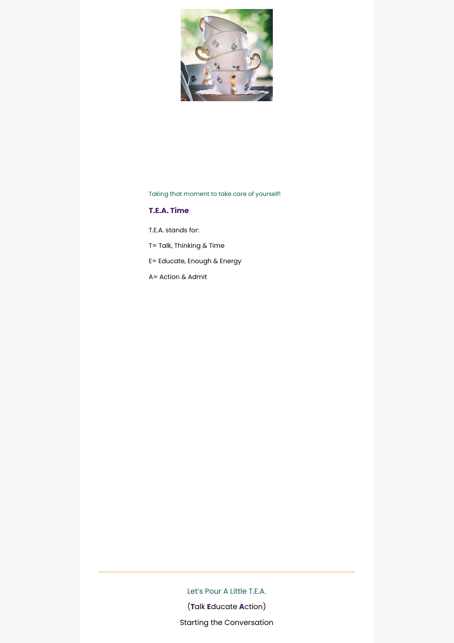

## Taking that moment to take care of yourself!

### **T.E.A. Time**

T.E.A. stands for:

T= Talk, Thinking & Time

E= Educate, Enough & Energy

A= Action & Admit

# Let's Pour A Little T.E.A.

(**T**alk **E**ducate **A**ction)

Starting the Conversation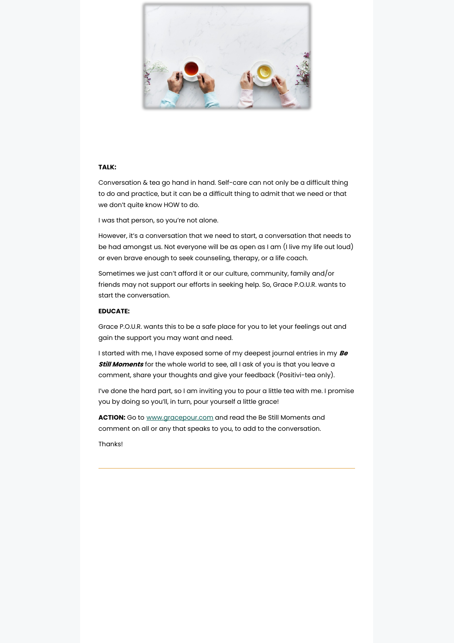

#### **TALK:**

Conversation & tea go hand in hand. Self-care can not only be a difficult thing to do and practice, but it can be a difficult thing to admit that we need or that we don't quite know HOW to do.

I was that person, so you're not alone.

However, it's a conversation that we need to start, a conversation that needs to be had amongst us. Not everyone will be as open as I am (I live my life out loud) or even brave enough to seek counseling, therapy, or a life coach.

Sometimes we just can't afford it or our culture, community, family and/or friends may not support our efforts in seeking help. So, Grace P.O.U.R. wants to start the conversation.

#### **EDUCATE:**

Grace P.O.U.R. wants this to be a safe place for you to let your feelings out and gain the support you may want and need.

I started with me, I have exposed some of my deepest journal entries in my **Be Still Moments** for the whole world to see, all I ask of you is that you leave a comment, share your thoughts and give your feedback (Positivi-tea only).

I've done the hard part, so I am inviting you to pour a little tea with me. I promise you by doing so you'll, in turn, pour yourself a little grace!

**ACTION:** Go to [www.gracepour.com](https://www.gracepour.com/be-still-moments/?&utm_source=newsletter&utm_medium=email&utm_campaign=graceful_moments_july_2020&utm_term=2020-07-23) and read the Be Still Moments and comment on all or any that speaks to you, to add to the conversation.

Thanks!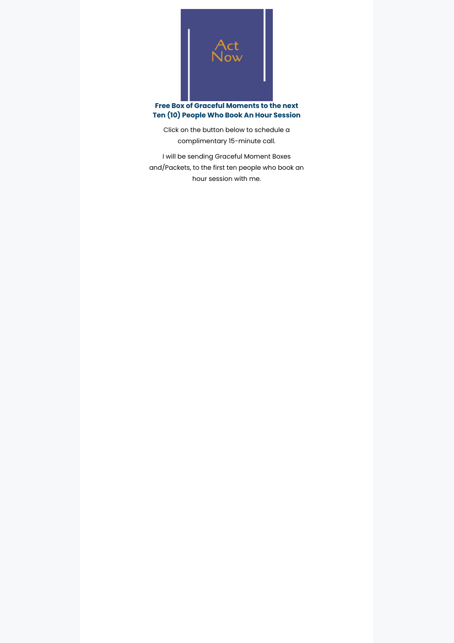

# **Free Box of Graceful Moments to the next Ten (10) People Who Book An Hour Session**

Click on the button below to schedule a complimentary 15-minute call.

I will be sending Graceful Moment Boxes and/Packets, to the first ten people who book an hour session with me.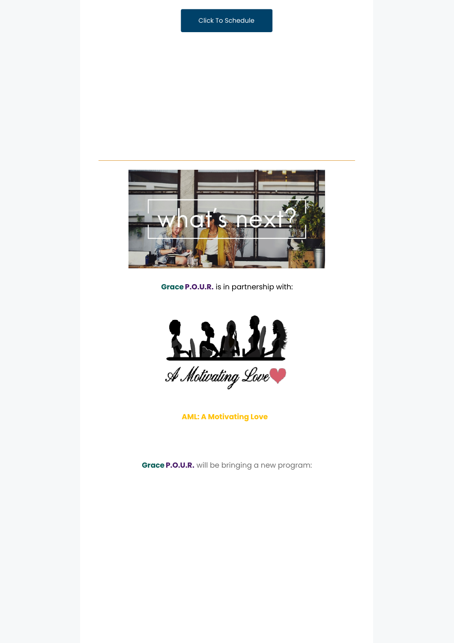

**Grace P.O.U.R.** is in partnership with:



**AML: A Motivating Love**

**Grace P.O.U.R.** will be bringing a new program: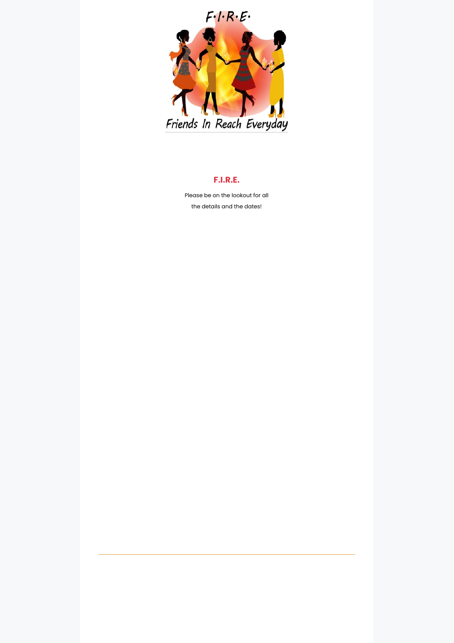



# **F.I.R.E.**

Please be on the lookout for all the details and the dates!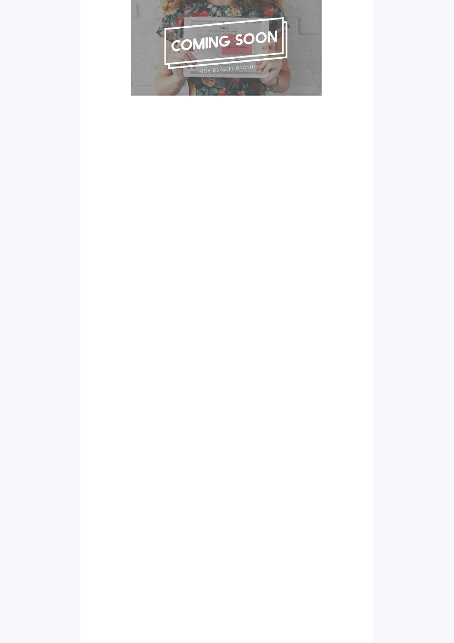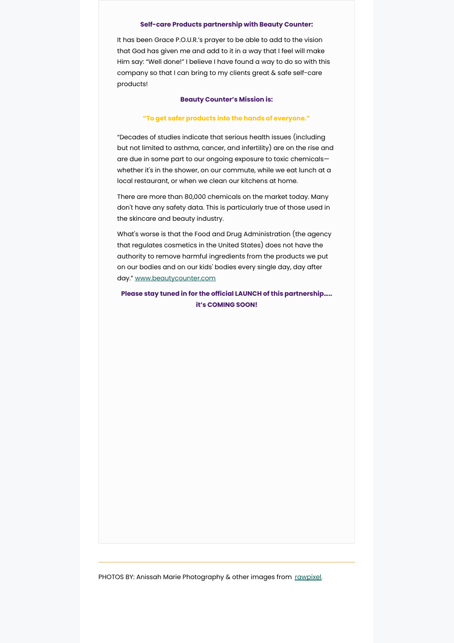#### **Self-care Products partnership with Beauty Counter:**

It has been Grace P.O.U.R.'s prayer to be able to add to the vision that God has given me and add to it in a way that I feel will make Him say: "Well done!" I believe I have found a way to do so with this company so that I can bring to my clients great & safe self-care products!

#### **Beauty Counter's Mission is:**

#### **"To get safer products into the hands of everyone."**

"Decades of studies indicate that serious health issues (including but not limited to asthma, cancer, and infertility) are on the rise and are due in some part to our ongoing exposure to toxic chemicals whether it's in the shower, on our commute, while we eat lunch at a local restaurant, or when we clean our kitchens at home.

There are more than 80,000 chemicals on the market today. Many don't have any safety data. This is particularly true of those used in the skincare and beauty industry.

What's worse is that the Food and Drug Administration (the agency that regulates cosmetics in the United States) does not have the authority to remove harmful ingredients from the products we put on our bodies and on our kids' bodies every single day, day after day." [www.beautycounter.com](http://www.beautycounter.com?&utm_source=newsletter&utm_medium=email&utm_campaign=graceful_moments_july_2020&utm_term=2020-07-23)

**Please stay tuned in for the official LAUNCH of this partnership….. it's COMING SOON!**

PHOTOS BY: Anissah Marie Photography & other images from [rawpixel](https://www.rawpixel.com/?sort=shuffle&page=1&utm_source=newsletter&utm_medium=email&utm_campaign=graceful_moments_july_2020&utm_term=2020-07-23).